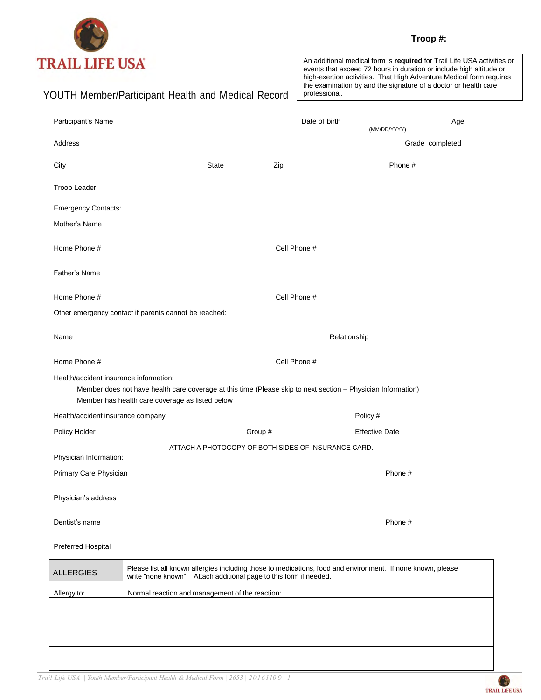

**Troop #:**

| <b>RAIL LIFE USA</b><br>YOUTH Member/Participant Health and Medical Record                                                                                                                                |                                                     |              | An additional medical form is required for Trail Life USA activities or<br>events that exceed 72 hours in duration or include high altitude or<br>high-exertion activities. That High Adventure Medical form requires<br>the examination by and the signature of a doctor or health care<br>professional. |                       |                 |
|-----------------------------------------------------------------------------------------------------------------------------------------------------------------------------------------------------------|-----------------------------------------------------|--------------|-----------------------------------------------------------------------------------------------------------------------------------------------------------------------------------------------------------------------------------------------------------------------------------------------------------|-----------------------|-----------------|
| Participant's Name                                                                                                                                                                                        |                                                     |              | Date of birth                                                                                                                                                                                                                                                                                             |                       | Age             |
| Address                                                                                                                                                                                                   |                                                     |              |                                                                                                                                                                                                                                                                                                           | (MM/DD/YYYY)          | Grade completed |
| City                                                                                                                                                                                                      | <b>State</b>                                        | Zip          |                                                                                                                                                                                                                                                                                                           | Phone #               |                 |
| Troop Leader                                                                                                                                                                                              |                                                     |              |                                                                                                                                                                                                                                                                                                           |                       |                 |
| <b>Emergency Contacts:</b>                                                                                                                                                                                |                                                     |              |                                                                                                                                                                                                                                                                                                           |                       |                 |
| Mother's Name                                                                                                                                                                                             |                                                     |              |                                                                                                                                                                                                                                                                                                           |                       |                 |
| Home Phone #                                                                                                                                                                                              |                                                     | Cell Phone # |                                                                                                                                                                                                                                                                                                           |                       |                 |
| Father's Name                                                                                                                                                                                             |                                                     |              |                                                                                                                                                                                                                                                                                                           |                       |                 |
| Home Phone #                                                                                                                                                                                              |                                                     |              | Cell Phone #                                                                                                                                                                                                                                                                                              |                       |                 |
| Other emergency contact if parents cannot be reached:                                                                                                                                                     |                                                     |              |                                                                                                                                                                                                                                                                                                           |                       |                 |
| Name                                                                                                                                                                                                      |                                                     |              | Relationship                                                                                                                                                                                                                                                                                              |                       |                 |
| Home Phone #                                                                                                                                                                                              | Cell Phone #                                        |              |                                                                                                                                                                                                                                                                                                           |                       |                 |
| Health/accident insurance information:<br>Member does not have health care coverage at this time (Please skip to next section - Physician Information)<br>Member has health care coverage as listed below |                                                     |              |                                                                                                                                                                                                                                                                                                           |                       |                 |
| Health/accident insurance company                                                                                                                                                                         |                                                     |              |                                                                                                                                                                                                                                                                                                           | Policy #              |                 |
| Policy Holder                                                                                                                                                                                             |                                                     | Group #      |                                                                                                                                                                                                                                                                                                           | <b>Effective Date</b> |                 |
| Physician Information:                                                                                                                                                                                    | ATTACH A PHOTOCOPY OF BOTH SIDES OF INSURANCE CARD. |              |                                                                                                                                                                                                                                                                                                           |                       |                 |
| Primary Care Physician                                                                                                                                                                                    |                                                     |              |                                                                                                                                                                                                                                                                                                           | Phone #               |                 |
| Physician's address                                                                                                                                                                                       |                                                     |              |                                                                                                                                                                                                                                                                                                           |                       |                 |
| Dentist's name                                                                                                                                                                                            |                                                     |              |                                                                                                                                                                                                                                                                                                           | Phone #               |                 |
|                                                                                                                                                                                                           |                                                     |              |                                                                                                                                                                                                                                                                                                           |                       |                 |

Preferred Hospital

| Please list all known allergies including those to medications, food and environment. If none known, please<br>write "none known". Attach additional page to this form if needed. |
|-----------------------------------------------------------------------------------------------------------------------------------------------------------------------------------|
| Normal reaction and management of the reaction:                                                                                                                                   |
|                                                                                                                                                                                   |
|                                                                                                                                                                                   |
|                                                                                                                                                                                   |
|                                                                                                                                                                                   |
|                                                                                                                                                                                   |

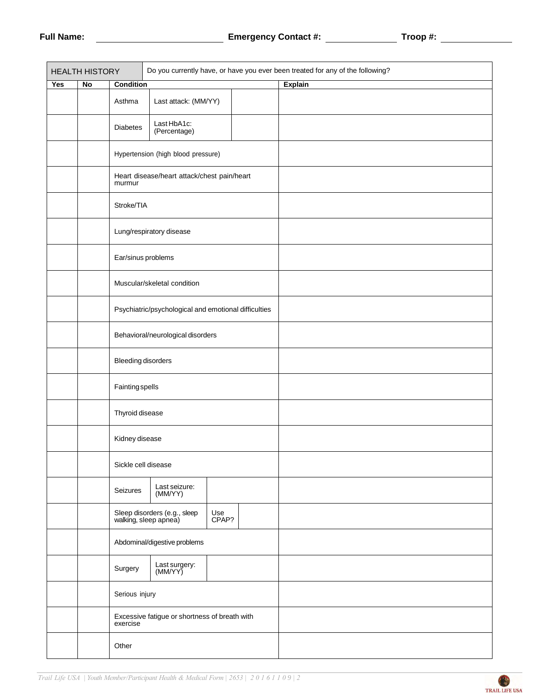| <b>HEALTH HISTORY</b> |                        |                              | Do you currently have, or have you ever been treated for any of the following? |              |  |                |  |  |
|-----------------------|------------------------|------------------------------|--------------------------------------------------------------------------------|--------------|--|----------------|--|--|
| Yes                   | $\mathop{\mathsf{No}}$ | <b>Condition</b>             |                                                                                |              |  | <b>Explain</b> |  |  |
|                       |                        | Asthma                       | Last attack: (MM/YY)                                                           |              |  |                |  |  |
|                       |                        | <b>Diabetes</b>              | Last HbA1c:<br>(Percentage)                                                    |              |  |                |  |  |
|                       |                        |                              | Hypertension (high blood pressure)                                             |              |  |                |  |  |
|                       |                        | murmur                       | Heart disease/heart attack/chest pain/heart                                    |              |  |                |  |  |
|                       |                        | Stroke/TIA                   |                                                                                |              |  |                |  |  |
|                       |                        |                              | Lung/respiratory disease                                                       |              |  |                |  |  |
|                       |                        | Ear/sinus problems           |                                                                                |              |  |                |  |  |
|                       |                        |                              | Muscular/skeletal condition                                                    |              |  |                |  |  |
|                       |                        |                              | Psychiatric/psychological and emotional difficulties                           |              |  |                |  |  |
|                       |                        |                              | Behavioral/neurological disorders                                              |              |  |                |  |  |
|                       |                        | <b>Bleeding disorders</b>    |                                                                                |              |  |                |  |  |
|                       |                        | <b>Fainting spells</b>       |                                                                                |              |  |                |  |  |
|                       |                        | Thyroid disease              |                                                                                |              |  |                |  |  |
|                       |                        | Kidney disease               |                                                                                |              |  |                |  |  |
|                       |                        | Sickle cell disease          |                                                                                |              |  |                |  |  |
|                       |                        | Seizures                     | Last seizure:<br>(MM/YY)                                                       |              |  |                |  |  |
|                       |                        |                              | Sleep disorders (e.g., sleep<br>walking, sleep apnea)                          | Use<br>CPAP? |  |                |  |  |
|                       |                        | Abdominal/digestive problems |                                                                                |              |  |                |  |  |
|                       |                        | Surgery                      | Last surgery:<br>(MM/YY)                                                       |              |  |                |  |  |
|                       |                        | Serious injury               |                                                                                |              |  |                |  |  |
|                       |                        | exercise                     | Excessive fatigue or shortness of breath with                                  |              |  |                |  |  |
|                       |                        | Other                        |                                                                                |              |  |                |  |  |

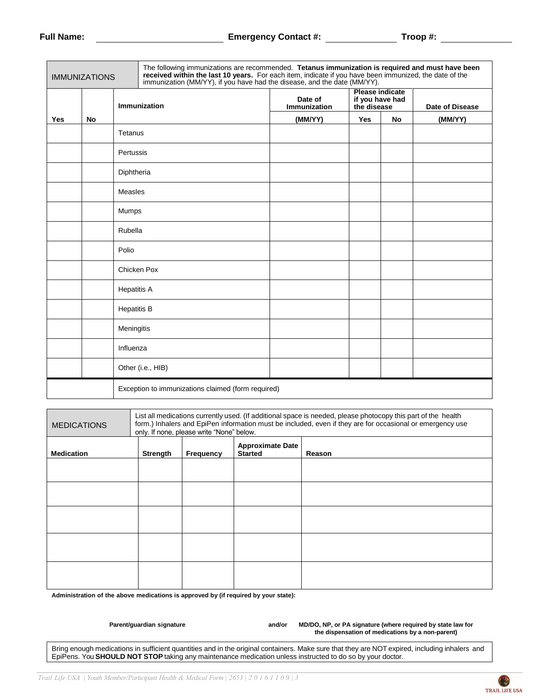| <b>IMMUNIZATIONS</b>                                                                                                                                                                                                              |    |                     | The following immunizations are recommended. Tetanus immunization is required and must have been<br>received within the last 10 years. For each item, indicate if you have been immunized, the date of the immunization (MM/YY), if you have had the disease, and the date (MM/YY). |                                                                                     |            |           |                 |
|-----------------------------------------------------------------------------------------------------------------------------------------------------------------------------------------------------------------------------------|----|---------------------|-------------------------------------------------------------------------------------------------------------------------------------------------------------------------------------------------------------------------------------------------------------------------------------|-------------------------------------------------------------------------------------|------------|-----------|-----------------|
|                                                                                                                                                                                                                                   |    | <b>Immunization</b> |                                                                                                                                                                                                                                                                                     | <b>Please indicate</b><br>Date of<br>if you have had<br>Immunization<br>the disease |            |           | Date of Disease |
| Yes                                                                                                                                                                                                                               | No |                     |                                                                                                                                                                                                                                                                                     | (MM/YY)                                                                             | <b>Yes</b> | <b>No</b> | (MM/YY)         |
|                                                                                                                                                                                                                                   |    | Tetanus             |                                                                                                                                                                                                                                                                                     |                                                                                     |            |           |                 |
|                                                                                                                                                                                                                                   |    | Pertussis           |                                                                                                                                                                                                                                                                                     |                                                                                     |            |           |                 |
|                                                                                                                                                                                                                                   |    | Diphtheria          |                                                                                                                                                                                                                                                                                     |                                                                                     |            |           |                 |
|                                                                                                                                                                                                                                   |    | Measles             |                                                                                                                                                                                                                                                                                     |                                                                                     |            |           |                 |
|                                                                                                                                                                                                                                   |    | Mumps               |                                                                                                                                                                                                                                                                                     |                                                                                     |            |           |                 |
|                                                                                                                                                                                                                                   |    | Rubella             |                                                                                                                                                                                                                                                                                     |                                                                                     |            |           |                 |
|                                                                                                                                                                                                                                   |    | Polio               |                                                                                                                                                                                                                                                                                     |                                                                                     |            |           |                 |
|                                                                                                                                                                                                                                   |    |                     | Chicken Pox                                                                                                                                                                                                                                                                         |                                                                                     |            |           |                 |
|                                                                                                                                                                                                                                   |    | <b>Hepatitis A</b>  |                                                                                                                                                                                                                                                                                     |                                                                                     |            |           |                 |
|                                                                                                                                                                                                                                   |    | <b>Hepatitis B</b>  |                                                                                                                                                                                                                                                                                     |                                                                                     |            |           |                 |
|                                                                                                                                                                                                                                   |    | Meningitis          |                                                                                                                                                                                                                                                                                     |                                                                                     |            |           |                 |
|                                                                                                                                                                                                                                   |    | Influenza           |                                                                                                                                                                                                                                                                                     |                                                                                     |            |           |                 |
|                                                                                                                                                                                                                                   |    |                     | Other (i.e., HIB)                                                                                                                                                                                                                                                                   |                                                                                     |            |           |                 |
|                                                                                                                                                                                                                                   |    |                     | Exception to immunizations claimed (form required)                                                                                                                                                                                                                                  |                                                                                     |            |           |                 |
|                                                                                                                                                                                                                                   |    |                     |                                                                                                                                                                                                                                                                                     |                                                                                     |            |           |                 |
| List all medications currently used. (If additional space is needed, please photocopy this part of the health<br>forms. A finite chain that it is the constitution of the constitution of the constitution of the constitution of |    |                     |                                                                                                                                                                                                                                                                                     |                                                                                     |            |           |                 |

| <b>MEDICATIONS</b> | List all medications currently used. (If additional space is needed, please photocopy this part of the health<br>form.) Inhalers and EpiPen information must be included, even if they are for occasional or emergency use<br>only. If none, please write "None" below. |                  |                                           |        |  |  |
|--------------------|-------------------------------------------------------------------------------------------------------------------------------------------------------------------------------------------------------------------------------------------------------------------------|------------------|-------------------------------------------|--------|--|--|
| <b>Medication</b>  | Strength                                                                                                                                                                                                                                                                | <b>Frequency</b> | <b>Approximate Date</b><br><b>Started</b> | Reason |  |  |
|                    |                                                                                                                                                                                                                                                                         |                  |                                           |        |  |  |
|                    |                                                                                                                                                                                                                                                                         |                  |                                           |        |  |  |
|                    |                                                                                                                                                                                                                                                                         |                  |                                           |        |  |  |
|                    |                                                                                                                                                                                                                                                                         |                  |                                           |        |  |  |
|                    |                                                                                                                                                                                                                                                                         |                  |                                           |        |  |  |

**Administration of the above medications is approved by (if required by your state):**

Parent/guardian signature **and/or MD/DO, NP, or PA signature (where required by state law for and/or MD/DO, NP**, or PA signature (where required by state law for **the dispensation of medications by a non-parent)**

Bring enough medications in sufficient quantities and in the original containers. Make sure that they are NOT expired, including inhalers and EpiPens. You **SHOULD NOT STOP** taking any maintenance medication unless instructed to do so by your doctor.